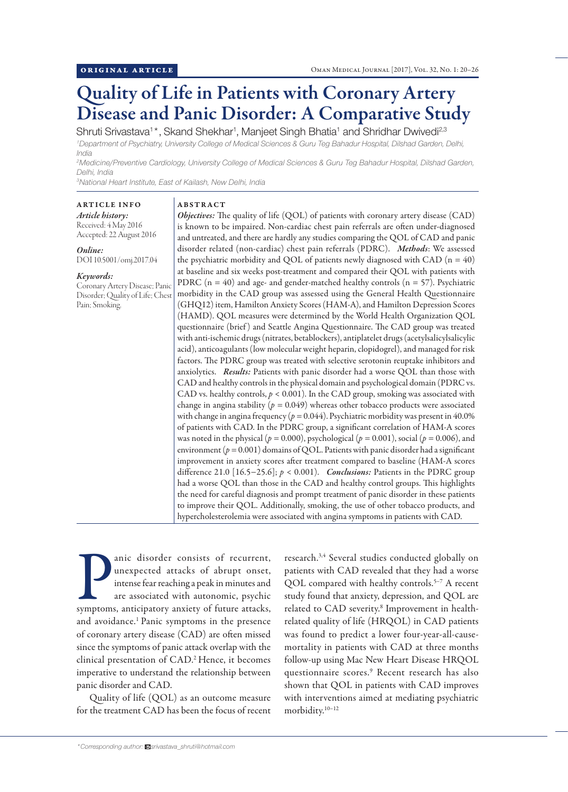# Quality of Life in Patients with Coronary Artery Disease and Panic Disorder: A Comparative Study

Shruti Srivastava<sup>1\*</sup>, Skand Shekhar<sup>1</sup>, Manjeet Singh Bhatia<sup>1</sup> and Shridhar Dwivedi<sup>2,3</sup> *1 Department of Psychiatry, University College of Medical Sciences & Guru Teg Bahadur Hospital, Dilshad Garden, Delhi, India*

*2 Medicine/Preventive Cardiology, University College of Medical Sciences & Guru Teg Bahadur Hospital, Dilshad Garden, Delhi, India*

*3 National Heart Institute, East of Kailash, New Delhi, India*

ABSTRACT

# ARTICLE INFO

*Article history:* Received: 4 May 2016 Accepted: 22 August 2016

*Online:* DOI 10.5001/omj.2017.04

#### *Keywords:*

Coronary Artery Disease; Panic Disorder; Quality of Life; Ches Pain; Smoking.

*Objectives:* The quality of life (QOL) of patients with coronary artery disease (CAD) is known to be impaired. Non-cardiac chest pain referrals are often under-diagnosed and untreated, and there are hardly any studies comparing the QOL of CAD and panic disorder related (non-cardiac) chest pain referrals (PDRC). *Methods*: We assessed the psychiatric morbidity and QOL of patients newly diagnosed with CAD  $(n = 40)$ at baseline and six weeks post-treatment and compared their QOL with patients with PDRC ( $n = 40$ ) and age- and gender-matched healthy controls ( $n = 57$ ). Psychiatric morbidity in the CAD group was assessed using the General Health Questionnaire (GHQ12) item, Hamilton Anxiety Scores (HAM-A), and Hamilton Depression Scores (HAMD). QOL measures were determined by the World Health Organization QOL questionnaire (brief) and Seattle Angina Questionnaire. The CAD group was treated with anti-ischemic drugs (nitrates, betablockers), antiplatelet drugs (acetylsalicylsalicylic acid), anticoagulants (low molecular weight heparin, clopidogrel), and managed for risk factors. The PDRC group was treated with selective serotonin reuptake inhibitors and anxiolytics. *Results:* Patients with panic disorder had a worse QOL than those with CAD and healthy controls in the physical domain and psychological domain (PDRC vs. CAD vs. healthy controls, *p* < 0.001). In the CAD group, smoking was associated with change in angina stability (*p =* 0.049) whereas other tobacco products were associated with change in angina frequency ( $p = 0.044$ ). Psychiatric morbidity was present in  $40.0\%$ of patients with CAD. In the PDRC group, a significant correlation of HAM-A scores was noted in the physical ( $p = 0.000$ ), psychological ( $p = 0.001$ ), social ( $p = 0.006$ ), and environment  $(p = 0.001)$  domains of QOL. Patients with panic disorder had a significant improvement in anxiety scores after treatment compared to baseline (HAM-A scores difference 21.0 [16.5−25.6]; *p* < 0.001). *Conclusions:* Patients in the PDRC group had a worse QOL than those in the CAD and healthy control groups. This highlights the need for careful diagnosis and prompt treatment of panic disorder in these patients to improve their QOL. Additionally, smoking, the use of other tobacco products, and hypercholesterolemia were associated with angina symptoms in patients with CAD.

anic disorder consists of recurrent,<br>unexpected attacks of abrupt onset,<br>intense fear reaching a peak in minutes and<br>are associated with autonomic, psychic<br>symptoms, anticipatory anxiety of future attacks, anic disorder consists of recurrent, unexpected attacks of abrupt onset, intense fear reaching a peak in minutes and are associated with autonomic, psychic and avoidance.1 Panic symptoms in the presence of coronary artery disease (CAD) are often missed since the symptoms of panic attack overlap with the clinical presentation of CAD. 2 Hence, it becomes imperative to understand the relationship between panic disorder and CAD.

Quality of life (QOL) as an outcome measure for the treatment CAD has been the focus of recent

research.<sup>3,4</sup> Several studies conducted globally on patients with CAD revealed that they had a worse QOL compared with healthy controls.5–7 A recent study found that anxiety, depression, and QOL are related to CAD severity.<sup>8</sup> Improvement in healthrelated quality of life (HRQOL) in CAD patients was found to predict a lower four-year-all-causemortality in patients with CAD at three months follow-up using Mac New Heart Disease HRQOL questionnaire scores.9 Recent research has also shown that QOL in patients with CAD improves with interventions aimed at mediating psychiatric morbidity.10–12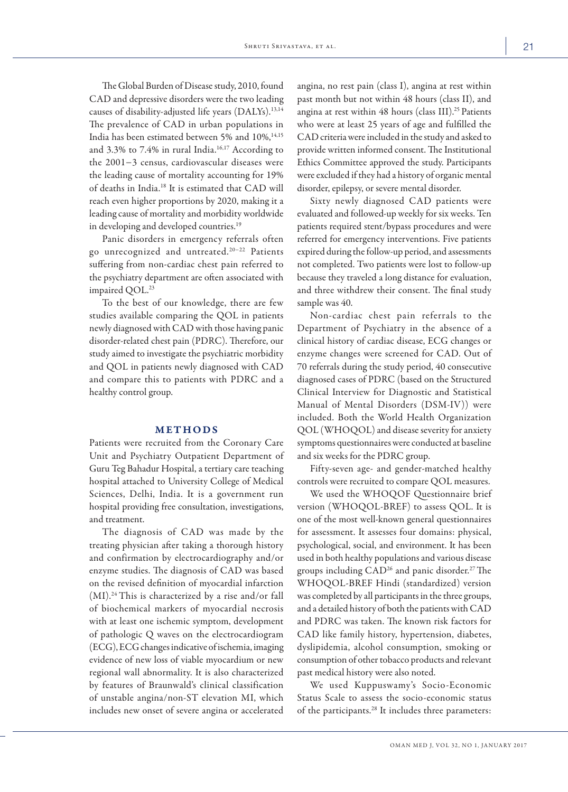The Global Burden of Disease study, 2010, found CAD and depressive disorders were the two leading causes of disability-adjusted life years (DALYs).<sup>13,14</sup> The prevalence of CAD in urban populations in India has been estimated between 5% and  $10\%,^{14,15}$ and 3.3% to 7.4% in rural India.<sup>16,17</sup> According to the 2001−3 census, cardiovascular diseases were the leading cause of mortality accounting for 19% of deaths in India.18 It is estimated that CAD will reach even higher proportions by 2020, making it a leading cause of mortality and morbidity worldwide in developing and developed countries.19

Panic disorders in emergency referrals often go unrecognized and untreated.20−22 Patients suffering from non-cardiac chest pain referred to the psychiatry department are often associated with impaired QOL. 23

To the best of our knowledge, there are few studies available comparing the QOL in patients newly diagnosed with CAD with those having panic disorder-related chest pain (PDRC). Therefore, our study aimed to investigate the psychiatric morbidity and QOL in patients newly diagnosed with CAD and compare this to patients with PDRC and a healthy control group.

#### METHODS

Patients were recruited from the Coronary Care Unit and Psychiatry Outpatient Department of Guru Teg Bahadur Hospital, a tertiary care teaching hospital attached to University College of Medical Sciences, Delhi, India. It is a government run hospital providing free consultation, investigations, and treatment.

The diagnosis of CAD was made by the treating physician after taking a thorough history and confirmation by electrocardiography and/or enzyme studies. The diagnosis of CAD was based on the revised definition of myocardial infarction  $(MI).<sup>24</sup>$  This is characterized by a rise and/or fall of biochemical markers of myocardial necrosis with at least one ischemic symptom, development of pathologic Q waves on the electrocardiogram (ECG), ECG changes indicative of ischemia, imaging evidence of new loss of viable myocardium or new regional wall abnormality. It is also characterized by features of Braunwald's clinical classification of unstable angina/non-ST elevation MI, which includes new onset of severe angina or accelerated angina, no rest pain (class I), angina at rest within past month but not within 48 hours (class II), and angina at rest within 48 hours (class III).<sup>25</sup> Patients who were at least 25 years of age and fulfilled the CAD criteria were included in the study and asked to provide written informed consent. The Institutional Ethics Committee approved the study. Participants were excluded if they had a history of organic mental disorder, epilepsy, or severe mental disorder.

Sixty newly diagnosed CAD patients were evaluated and followed-up weekly for six weeks. Ten patients required stent/bypass procedures and were referred for emergency interventions. Five patients expired during the follow-up period, and assessments not completed. Two patients were lost to follow-up because they traveled a long distance for evaluation, and three withdrew their consent. The final study sample was 40.

Non-cardiac chest pain referrals to the Department of Psychiatry in the absence of a clinical history of cardiac disease, ECG changes or enzyme changes were screened for CAD. Out of 70 referrals during the study period, 40 consecutive diagnosed cases of PDRC (based on the Structured Clinical Interview for Diagnostic and Statistical Manual of Mental Disorders (DSM-IV)) were included. Both the World Health Organization QOL (WHOQOL) and disease severity for anxiety symptoms questionnaires were conducted at baseline and six weeks for the PDRC group.

Fifty-seven age- and gender-matched healthy controls were recruited to compare QOL measures.

We used the WHOQOF Questionnaire brief version (WHOQOL-BREF) to assess QOL. It is one of the most well-known general questionnaires for assessment. It assesses four domains: physical, psychological, social, and environment. It has been used in both healthy populations and various disease groups including CAD<sup>26</sup> and panic disorder.<sup>27</sup> The WHOQOL-BREF Hindi (standardized) version was completed by all participants in the three groups, and a detailed history of both the patients with CAD and PDRC was taken. The known risk factors for CAD like family history, hypertension, diabetes, dyslipidemia, alcohol consumption, smoking or consumption of other tobacco products and relevant past medical history were also noted.

We used Kuppuswamy's Socio-Economic Status Scale to assess the socio-economic status of the participants.<sup>28</sup> It includes three parameters: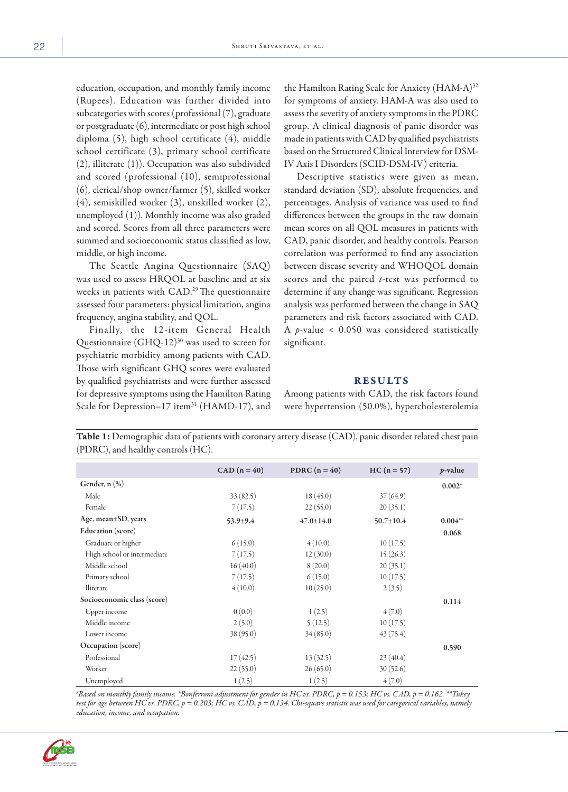education, occupation, and monthly family income (Rupees). Education was further divided into subcategories with scores (professional (7), graduate or postgraduate (6), intermediate or post high school diploma (5), high school certificate (4), middle school certificate (3), primary school certificate (2), illiterate (1)). Occupation was also subdivided and scored (professional (10), semiprofessional (6), clerical/shop owner/farmer (5), skilled worker (4), semiskilled worker (3), unskilled worker (2), unemployed (1)). Monthly income was also graded and scored. Scores from all three parameters were summed and socioeconomic status classified as low, middle, or high income.

The Seattle Angina Questionnaire (SAQ) was used to assess HRQOL at baseline and at six weeks in patients with CAD. 29 The questionnaire assessed four parameters: physical limitation, angina frequency, angina stability, and QOL.

Finally, the 12-item General Health Questionnaire (GHQ-12)<sup>30</sup> was used to screen for psychiatric morbidity among patients with CAD. Those with significant GHQ scores were evaluated by qualified psychiatrists and were further assessed for depressive symptoms using the Hamilton Rating Scale for Depression-17 item<sup>31</sup> (HAMD-17), and

the Hamilton Rating Scale for Anxiety (HAM-A)<sup>32</sup> for symptoms of anxiety. HAM-A was also used to assess the severity of anxiety symptoms in the PDRC group. A clinical diagnosis of panic disorder was made in patients with CAD by qualified psychiatrists based on the Structured Clinical Interview for DSM-IV Axis I Disorders (SCID-DSM-IV) criteria.

Descriptive statistics were given as mean, standard deviation (SD), absolute frequencies, and percentages. Analysis of variance was used to find differences between the groups in the raw domain mean scores on all QOL measures in patients with CAD, panic disorder, and healthy controls. Pearson correlation was performed to find any association between disease severity and WHOQOL domain scores and the paired *t*-test was performed to determine if any change was significant. Regression analysis was performed between the change in SAQ parameters and risk factors associated with CAD. A *p*-value < 0.050 was considered statistically significant.

### RESULTS

Among patients with CAD, the risk factors found were hypertension (50.0%), hypercholesterolemia

**Table 1:** Demographic data of patients with coronary artery disease (CAD), panic disorder related chest pain  $(DDE)$ (PDRC), and healthy controls (HC).

| $( PDRC)$ , and nearthy controls $( HC)$ . |                |                 |                 |            |
|--------------------------------------------|----------------|-----------------|-----------------|------------|
|                                            | $CAD (n = 40)$ | PDRC $(n = 40)$ | $HC (n = 57)$   | $p$ -value |
| Gender, $n$ $(\%)$                         |                |                 |                 | $0.002*$   |
| Male                                       | 33(82.5)       | 18(45.0)        | 37(64.9)        |            |
| Female                                     | 7(17.5)        | 22(55.0)        | 20(35.1)        |            |
| Age, mean $\pm$ SD, years                  | $53.9 \pm 9.4$ | $47.0 \pm 14.0$ | $50.7 \pm 10.4$ | $0.004**$  |
| <b>Education</b> (score)                   |                |                 |                 | 0.068      |
| Graduate or higher                         | 6(15.0)        | 4(10.0)         | 10(17.5)        |            |
| High school or intermediate                | 7(17.5)        | 12(30.0)        | 15(26.3)        |            |
| Middle school                              | 16(40.0)       | 8(20.0)         | 20(35.1)        |            |
| Primary school                             | 7(17.5)        | 6(15.0)         | 10(17.5)        |            |
| Iliterate                                  | 4(10.0)        | 10(25.0)        | 2(3.5)          |            |
| Socioeconomic class (score)                |                |                 |                 | 0.114      |
| Upper income                               | 0(0.0)         | 1(2.5)          | 4(7.0)          |            |
| Middle income                              | 2(5.0)         | 5(12.5)         | 10(17.5)        |            |
| Lower income                               | 38(95.0)       | 34(85.0)        | 43(75.4)        |            |
| Occupation (score)                         |                |                 |                 | 0.590      |
| Professional                               | 17(42.5)       | 13(32.5)        | 23(40.4)        |            |
| Worker                                     | 22(55.0)       | 26(65.0)        | 30(52.6)        |            |
| Unemployed                                 | 1(2.5)         | 1(2.5)          | 4(7.0)          |            |

*\$ Based on monthly family income. \*Bonferroni adjustment for gender in HC vs. PDRC, p = 0.153; HC vs. CAD, p = 0.162. \*\*Tukey test for age between HC vs. PDRC, p = 0.203; HC vs. CAD, p = 0.134. Chi-square statistic was used for categorical variables, namely education, income, and occupation.*

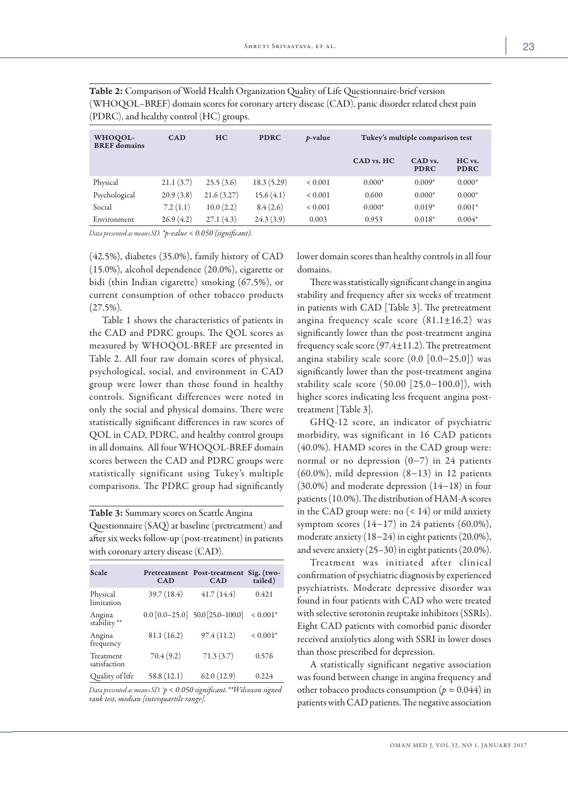| WHOQOL-<br><b>BREF</b> domains | <b>CAD</b> | HC         | <b>PDRC</b> | <i>p</i> -value | Tukey's multiple comparison test |                        |                       |
|--------------------------------|------------|------------|-------------|-----------------|----------------------------------|------------------------|-----------------------|
|                                |            |            |             |                 | CAD vs. HC                       | CAD vs.<br><b>PDRC</b> | HC vs.<br><b>PDRC</b> |
| Physical                       | 21.1(3.7)  | 25.5(3.6)  | 18.3(5.29)  | ${}< 0.001$     | $0.000*$                         | $0.009*$               | $0.000*$              |
| Psychological                  | 20.9(3.8)  | 21.6(3.27) | 15.6(4.1)   | ${}< 0.001$     | 0.600                            | $0.000*$               | $0.000*$              |
| Social                         | 7.2(1.1)   | 10.0(2.2)  | 8.4(2.6)    | ${}< 0.001$     | $0.000*$                         | $0.019*$               | $0.001*$              |
| Environment                    | 26.9(4.2)  | 27.1(4.3)  | 24.3(3.9)   | 0.003           | 0.953                            | $0.018*$               | $0.004*$              |

Table 2: Comparison of World Health Organization Quality of Life Questionnaire-brief version (WHOQOL–BREF) domain scores for coronary artery disease (CAD), panic disorder related chest pain (PDRC), and healthy control (HC) groups.

*Data presented as mean±SD. \*p-value < 0.050 (significant).*

(42.5%), diabetes (35.0%), family history of CAD (15.0%), alcohol dependence (20.0%), cigarette or bidi (thin Indian cigarette) smoking (67.5%), or current consumption of other tobacco products  $(27.5\%)$ .

Table 1 shows the characteristics of patients in the CAD and PDRC groups. The QOL scores as measured by WHOQOL-BREF are presented in Table 2. All four raw domain scores of physical, psychological, social, and environment in CAD group were lower than those found in healthy controls. Significant differences were noted in only the social and physical domains. There were statistically significant differences in raw scores of QOL in CAD, PDRC, and healthy control groups in all domains. All four WHOQOL-BREF domain scores between the CAD and PDRC groups were statistically significant using Tukey's multiple comparisons. The PDRC group had significantly

Table 3: Summary scores on Seattle Angina Questionnaire (SAQ) at baseline (pretreatment) and after six weeks follow-up (post-treatment) in patients with coronary artery disease (CAD).

| Scale                     | CAD         | Pretreatment Post-treatment<br><b>CAD</b> | Sig. (two-<br>tailed) |
|---------------------------|-------------|-------------------------------------------|-----------------------|
| Physical<br>limitation    | 39.7 (18.4) | 41.7(14.4)                                | 0.421                 |
| Angina<br>stability **    |             | $0.0$ [0.0-25.0] 50.0 [25.0-100.0]        | $< 0.001*$            |
| Angina<br>frequency       | 81.1(16.2)  | 97.4(11.2)                                | $< 0.001*$            |
| Treatment<br>satisfaction | 70.4(9.2)   | 71.3(3.7)                                 | 0.576                 |
| Quality of life           | 58.8(12.1)  | 62.0(12.9)                                | 0.224                 |

*Data presented as mean±SD. \*p < 0.050 significant.\*\*Wilcoxon signed rank test, median [interquartile range].*

lower domain scores than healthy controls in all four domains.

There was statistically significant change in angina stability and frequency after six weeks of treatment in patients with CAD [Table 3]. The pretreatment angina frequency scale score  $(81.1 \pm 16.2)$  was significantly lower than the post-treatment angina frequency scale score (97.4±11.2). The pretreatment angina stability scale score (0.0 [0.0−25.0]) was significantly lower than the post-treatment angina stability scale score (50.00 [25.0−100.0]), with higher scores indicating less frequent angina posttreatment [Table 3].

GHQ-12 score, an indicator of psychiatric morbidity, was significant in 16 CAD patients (40.0%). HAMD scores in the CAD group were: normal or no depression (0−7) in 24 patients (60.0%), mild depression (8−13) in 12 patients (30.0%) and moderate depression (14−18) in four patients (10.0%). The distribution of HAM-A scores in the CAD group were: no  $(< 14)$  or mild anxiety symptom scores  $(14-17)$  in 24 patients  $(60.0\%)$ , moderate anxiety (18−24) in eight patients (20.0%), and severe anxiety (25–30) in eight patients (20.0%).

Treatment was initiated after clinical confirmation of psychiatric diagnosis by experienced psychiatrists. Moderate depressive disorder was found in four patients with CAD who were treated with selective serotonin reuptake inhibitors (SSRIs). Eight CAD patients with comorbid panic disorder received anxiolytics along with SSRI in lower doses than those prescribed for depression.

A statistically significant negative association was found between change in angina frequency and other tobacco products consumption  $(p = 0.044)$  in patients with CAD patients. The negative association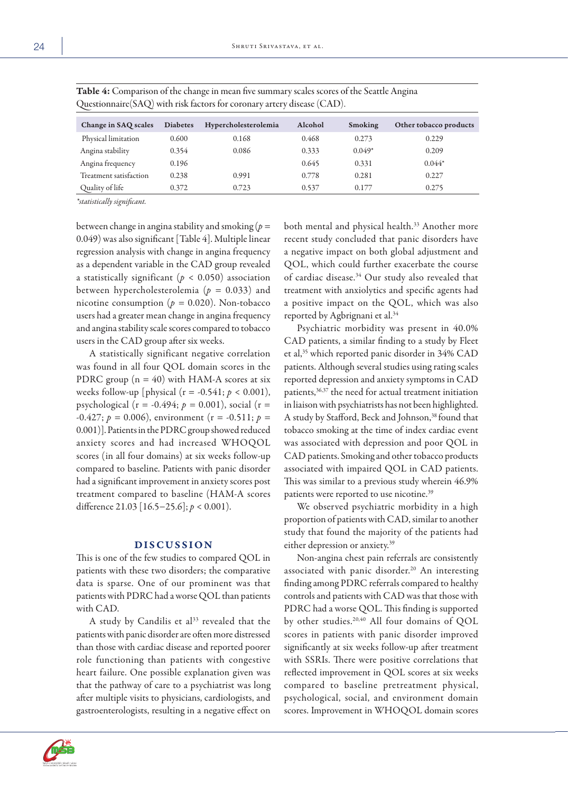| Questionnaire (SAQ) with risk factors for coronary artery disease (CAD). |                 |                      |         |          |                        |
|--------------------------------------------------------------------------|-----------------|----------------------|---------|----------|------------------------|
| Change in SAQ scales                                                     | <b>Diabetes</b> | Hypercholesterolemia | Alcohol | Smoking  | Other tobacco products |
| Physical limitation                                                      | 0.600           | 0.168                | 0.468   | 0.273    | 0.229                  |
| Angina stability                                                         | 0.354           | 0.086                | 0.333   | $0.049*$ | 0.209                  |
| Angina frequency                                                         | 0.196           |                      | 0.645   | 0.331    | $0.044*$               |
| Treatment satisfaction                                                   | 0.238           | 0.991                | 0.778   | 0.281    | 0.227                  |
| Quality of life                                                          | 0.372           | 0.723                | 0.537   | 0.177    | 0.275                  |

Table 4: Comparison of the change in mean five summary scales scores of the Seattle Angina

*\*statistically significant.*

between change in angina stability and smoking (*p =*  0.049) was also significant [Table 4]. Multiple linear regression analysis with change in angina frequency as a dependent variable in the CAD group revealed a statistically significant ( $p < 0.050$ ) association between hypercholesterolemia (*p =* 0.033) and nicotine consumption (*p =* 0.020). Non-tobacco users had a greater mean change in angina frequency and angina stability scale scores compared to tobacco users in the CAD group after six weeks.

A statistically significant negative correlation was found in all four QOL domain scores in the PDRC group  $(n = 40)$  with HAM-A scores at six weeks follow-up [physical (r = -0.541; *p* < 0.001), psychological (r = -0.494; *p =* 0.001), social (r =  $-0.427$ ;  $p = 0.006$ ), environment (r =  $-0.511$ ;  $p =$ 0.001)]. Patients in the PDRC group showed reduced anxiety scores and had increased WHOQOL scores (in all four domains) at six weeks follow-up compared to baseline. Patients with panic disorder had a significant improvement in anxiety scores post treatment compared to baseline (HAM-A scores difference 21.03 [16.5−25.6]; *p* < 0.001).

## DISCUSSION

This is one of the few studies to compared QOL in patients with these two disorders; the comparative data is sparse. One of our prominent was that patients with PDRC had a worse QOL than patients with CAD.

A study by Candilis et al<sup>33</sup> revealed that the patients with panic disorder are often more distressed than those with cardiac disease and reported poorer role functioning than patients with congestive heart failure. One possible explanation given was that the pathway of care to a psychiatrist was long after multiple visits to physicians, cardiologists, and gastroenterologists, resulting in a negative effect on



Psychiatric morbidity was present in 40.0% CAD patients, a similar finding to a study by Fleet et al,35 which reported panic disorder in 34% CAD patients. Although several studies using rating scales reported depression and anxiety symptoms in CAD patients,36,37 the need for actual treatment initiation in liaison with psychiatrists has not been highlighted. A study by Stafford, Beck and Johnson,<sup>38</sup> found that tobacco smoking at the time of index cardiac event was associated with depression and poor QOL in CAD patients. Smoking and other tobacco products associated with impaired QOL in CAD patients. This was similar to a previous study wherein 46.9% patients were reported to use nicotine.39

We observed psychiatric morbidity in a high proportion of patients with CAD, similar to another study that found the majority of the patients had either depression or anxiety.39

Non-angina chest pain referrals are consistently associated with panic disorder.<sup>20</sup> An interesting finding among PDRC referrals compared to healthy controls and patients with CAD was that those with PDRC had a worse QOL. This finding is supported by other studies.<sup>20,40</sup> All four domains of QOL scores in patients with panic disorder improved significantly at six weeks follow-up after treatment with SSRIs. There were positive correlations that reflected improvement in QOL scores at six weeks compared to baseline pretreatment physical, psychological, social, and environment domain scores. Improvement in WHOQOL domain scores

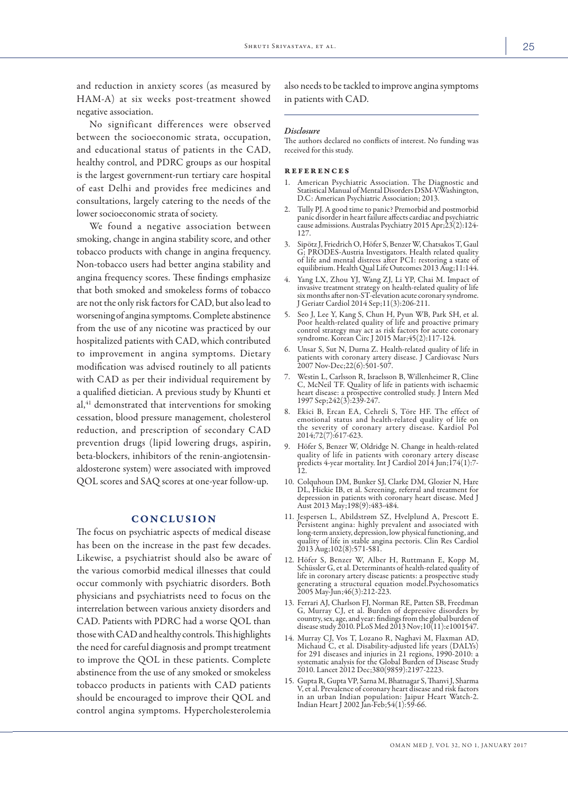and reduction in anxiety scores (as measured by HAM-A) at six weeks post-treatment showed negative association.

No significant differences were observed between the socioeconomic strata, occupation, and educational status of patients in the CAD, healthy control, and PDRC groups as our hospital is the largest government-run tertiary care hospital of east Delhi and provides free medicines and consultations, largely catering to the needs of the lower socioeconomic strata of society.

We found a negative association between smoking, change in angina stability score, and other tobacco products with change in angina frequency. Non-tobacco users had better angina stability and angina frequency scores. These findings emphasize that both smoked and smokeless forms of tobacco are not the only risk factors for CAD, but also lead to worsening of angina symptoms. Complete abstinence from the use of any nicotine was practiced by our hospitalized patients with CAD, which contributed to improvement in angina symptoms. Dietary modification was advised routinely to all patients with CAD as per their individual requirement by a qualified dietician. A previous study by Khunti et al,<sup>41</sup> demonstrated that interventions for smoking cessation, blood pressure management, cholesterol reduction, and prescription of secondary CAD prevention drugs (lipid lowering drugs, aspirin, beta-blockers, inhibitors of the renin-angiotensinaldosterone system) were associated with improved QOL scores and SAQ scores at one-year follow-up.

#### CONCLUSION

The focus on psychiatric aspects of medical disease has been on the increase in the past few decades. Likewise, a psychiatrist should also be aware of the various comorbid medical illnesses that could occur commonly with psychiatric disorders. Both physicians and psychiatrists need to focus on the interrelation between various anxiety disorders and CAD. Patients with PDRC had a worse QOL than those with CAD and healthy controls. This highlights the need for careful diagnosis and prompt treatment to improve the QOL in these patients. Complete abstinence from the use of any smoked or smokeless tobacco products in patients with CAD patients should be encouraged to improve their QOL and control angina symptoms. Hypercholesterolemia

also needs to be tackled to improve angina symptoms in patients with CAD.

#### *Disclosure*

The authors declared no conflicts of interest. No funding was received for this study.

#### references

- 1. American Psychiatric Association. The Diagnostic and Statistical Manual of Mental Disorders DSM-V.Washington, D.C: American Psychiatric Association; 2013.
- 2. Tully PJ. A good time to panic? Premorbid and postmorbid panic disorder in heart failure affects cardiac and psychiatric cause admissions. Australas Psychiatry 2015 Apr;23(2):124- 127.
- 3. Sipötz J, Friedrich O, Höfer S, Benzer W, Chatsakos T, Gaul of life and mental distress after PCI: restoring a state of equilibrium. Health Qual Life Outcomes 2013 Aug;11:144.
- 4. Yang LX, Zhou YJ, Wang ZJ, Li YP, Chai M. Impact of invasive treatment strategy on health-related quality of life six months after non-ST-elevation acute coronary syndrome. J Geriatr Cardiol 2014 Sep;11(3):206-211.
- 5. Seo J, Lee Y, Kang S, Chun H, Pyun WB, Park SH, et al. Poor health-related quality of life and proactive primary control strategy may act as risk factors for acute coronary syndrome. Korean Circ J 2015 Mar;45(2):117-124.
- 6. Unsar S, Sut N, Durna Z. Health-related quality of life in patients with coronary artery disease. J Cardiovasc Nurs 2007 Nov-Dec;22(6):501-507.
- 7. Westin L, Carlsson R, Israelsson B, Willenheimer R, Cline C, McNeil TF. Quality of life in patients with ischaemic heart disease: a prospective controlled study. J Intern Med 1997 Sep;242(3):239-247.
- 8. Ekici B, Ercan EA, Cehreli S, Töre HF. The effect of emotional status and health-related quality of life on the severity of coronary artery disease. Kardiol Pol 2014;72(7):617-623.
- 9. Höfer S, Benzer W, Oldridge N. Change in health-related quality of life in patients with coronary artery disease predicts 4-year mortality. Int J Cardiol 2014 Jun;174(1):7-  $\overline{12}$ .
- 10. Colquhoun DM, Bunker SJ, Clarke DM, Glozier N, Hare DL, Hickie IB, et al. Screening, referral and treatment for DL, Hickie IB, et al. Screening, referral and treatment for depression in patients with coronary heart disease. Med J Aust 2013 May;198(9):483-484.
- 11. Jespersen L, Abildstrøm SZ, Hvelplund A, Prescott E. Persistent angina: highly prevalent and associated with long-term anxiety, depression, low physical functioning, and quality of life in stable angina pectoris. Clin Res Cardiol 2013 Aug;102(8):571-581.
- 12. Höfer S, Benzer W, Alber H, Ruttmann E, Kopp M, Schüssler G, et al. Determinants of health-related quality of life in coronary artery disease patients: a prospective study generating a structural equation model.Psychosomatics 2005 May-Jun;46(3):212-223.
- 13. Ferrari AJ, Charlson FJ, Norman RE, Patten SB, Freedman country, sex, age, and year: findings from the global burden of disease study 2010. PLoS Med 2013 Nov;10(11):e1001547.
- 14. Murray CJ, Vos T, Lozano R, Naghavi M, Flaxman AD, Michaud C, et al. Disability-adjusted life years (DALYs) for 291 diseases and injuries in 21 regions, 1990-2010: a systematic analysis for the Global Burden of Disease Study 2010. Lancet 2012 Dec;380(9859):2197-2223.
- 15. Gupta R, Gupta VP, Sarna M, Bhatnagar S, Thanvi J, Sharma V, et al. Prevalence of coronary heart disease and risk factors in an urban Indian population: Jaipur Heart Watch-2. Indian Heart J 2002 Jan-Feb;54(1):59-66.